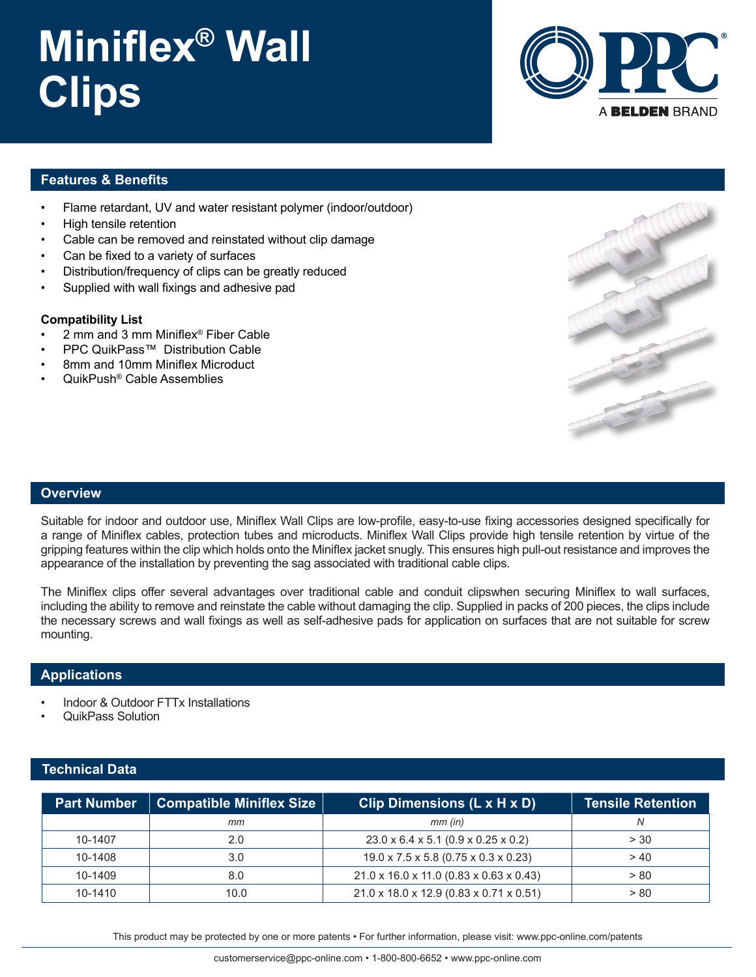## **Miniflex® Wall Clips**



### **Features & Benefits**

- Flame retardant, UV and water resistant polymer (indoor/outdoor)
- High tensile retention
- Cable can be removed and reinstated without clip damage
- Can be fixed to a variety of surfaces
- Distribution/frequency of clips can be greatly reduced
- Supplied with wall fixings and adhesive pad

#### **Compatibility List**

- 2 mm and 3 mm Miniflex® Fiber Cable
- PPC QuikPass™ Distribution Cable
- 8mm and 10mm Miniflex Microduct
- QuikPush® Cable Assemblies



#### **Overview**

Suitable for indoor and outdoor use, Miniflex Wall Clips are low-profile, easy-to-use fixing accessories designed specifically for a range of Miniflex cables, protection tubes and microducts. Miniflex Wall Clips provide high tensile retention by virtue of the gripping features within the clip which holds onto the Miniflex jacket snugly. This ensures high pull-out resistance and improves the appearance of the installation by preventing the sag associated with traditional cable clips.

The Miniflex clips offer several advantages over traditional cable and conduit clipswhen securing Miniflex to wall surfaces, including the ability to remove and reinstate the cable without damaging the clip. Supplied in packs of 200 pieces, the clips include the necessary screws and wall fixings as well as self-adhesive pads for application on surfaces that are not suitable for screw mounting.

#### **Applications**

- Indoor & Outdoor FTTx Installations
- QuikPass Solution

#### **Technical Data**

| <b>Part Number</b> | <b>Compatible Miniflex Size</b> | Clip Dimensions (L x H x D)                     | <b>Tensile Retention</b> |
|--------------------|---------------------------------|-------------------------------------------------|--------------------------|
|                    | тm                              | $mm$ (in)                                       |                          |
| 10-1407            | 2.0                             | $23.0 \times 6.4 \times 5.1$ (0.9 x 0.25 x 0.2) | > 30                     |
| 10-1408            | 3.0                             | 19.0 x 7.5 x 5.8 (0.75 x 0.3 x 0.23)            | > 40                     |
| 10-1409            | 8.0                             | 21.0 x 16.0 x 11.0 (0.83 x 0.63 x 0.43)         | > 80                     |
| 10-1410            | 10.0                            | 21.0 x 18.0 x 12.9 (0.83 x 0.71 x 0.51)         | > 80                     |

This product may be protected by one or more patents • For further information, please visit: www.ppc-online.com/patents